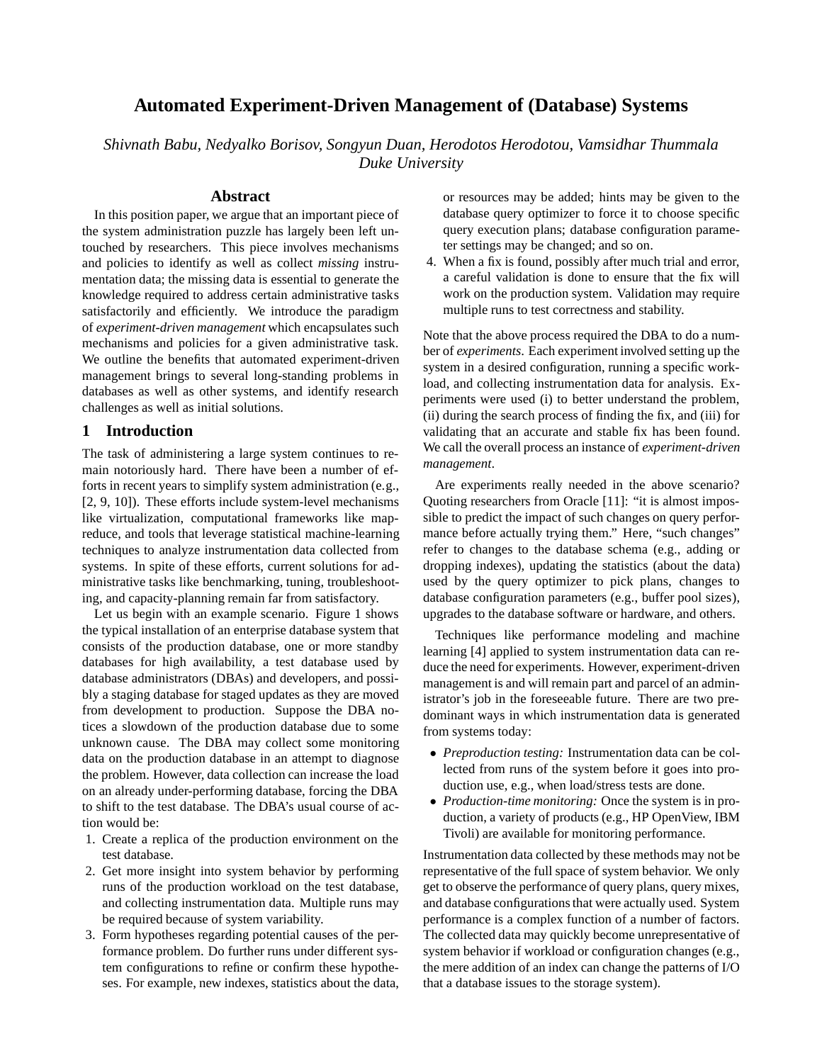# **Automated Experiment-Driven Management of (Database) Systems**

*Shivnath Babu, Nedyalko Borisov, Songyun Duan, Herodotos Herodotou, Vamsidhar Thummala Duke University*

### **Abstract**

In this position paper, we argue that an important piece of the system administration puzzle has largely been left untouched by researchers. This piece involves mechanisms and policies to identify as well as collect *missing* instrumentation data; the missing data is essential to generate the knowledge required to address certain administrative tasks satisfactorily and efficiently. We introduce the paradigm of *experiment-driven management* which encapsulates such mechanisms and policies for a given administrative task. We outline the benefits that automated experiment-driven management brings to several long-standing problems in databases as well as other systems, and identify research challenges as well as initial solutions.

### **1 Introduction**

The task of administering a large system continues to remain notoriously hard. There have been a number of efforts in recent years to simplify system administration (e.g., [2, 9, 10]). These efforts include system-level mechanisms like virtualization, computational frameworks like mapreduce, and tools that leverage statistical machine-learning techniques to analyze instrumentation data collected from systems. In spite of these efforts, current solutions for administrative tasks like benchmarking, tuning, troubleshooting, and capacity-planning remain far from satisfactory.

Let us begin with an example scenario. Figure 1 shows the typical installation of an enterprise database system that consists of the production database, one or more standby databases for high availability, a test database used by database administrators (DBAs) and developers, and possibly a staging database for staged updates as they are moved from development to production. Suppose the DBA notices a slowdown of the production database due to some unknown cause. The DBA may collect some monitoring data on the production database in an attempt to diagnose the problem. However, data collection can increase the load on an already under-performing database, forcing the DBA to shift to the test database. The DBA's usual course of action would be:

- 1. Create a replica of the production environment on the test database.
- 2. Get more insight into system behavior by performing runs of the production workload on the test database, and collecting instrumentation data. Multiple runs may be required because of system variability.
- 3. Form hypotheses regarding potential causes of the performance problem. Do further runs under different system configurations to refine or confirm these hypotheses. For example, new indexes, statistics about the data,

or resources may be added; hints may be given to the database query optimizer to force it to choose specific query execution plans; database configuration parameter settings may be changed; and so on.

4. When a fix is found, possibly after much trial and error, a careful validation is done to ensure that the fix will work on the production system. Validation may require multiple runs to test correctness and stability.

Note that the above process required the DBA to do a number of *experiments*. Each experiment involved setting up the system in a desired configuration, running a specific workload, and collecting instrumentation data for analysis. Experiments were used (i) to better understand the problem, (ii) during the search process of finding the fix, and (iii) for validating that an accurate and stable fix has been found. We call the overall process an instance of *experiment-driven management*.

Are experiments really needed in the above scenario? Quoting researchers from Oracle [11]: "it is almost impossible to predict the impact of such changes on query performance before actually trying them." Here, "such changes" refer to changes to the database schema (e.g., adding or dropping indexes), updating the statistics (about the data) used by the query optimizer to pick plans, changes to database configuration parameters (e.g., buffer pool sizes), upgrades to the database software or hardware, and others.

Techniques like performance modeling and machine learning [4] applied to system instrumentation data can reduce the need for experiments. However, experiment-driven management is and will remain part and parcel of an administrator's job in the foreseeable future. There are two predominant ways in which instrumentation data is generated from systems today:

- *Preproduction testing:* Instrumentation data can be collected from runs of the system before it goes into production use, e.g., when load/stress tests are done.
- *Production-time monitoring:* Once the system is in production, a variety of products (e.g., HP OpenView, IBM Tivoli) are available for monitoring performance.

Instrumentation data collected by these methods may not be representative of the full space of system behavior. We only get to observe the performance of query plans, query mixes, and database configurations that were actually used. System performance is a complex function of a number of factors. The collected data may quickly become unrepresentative of system behavior if workload or configuration changes (e.g., the mere addition of an index can change the patterns of I/O that a database issues to the storage system).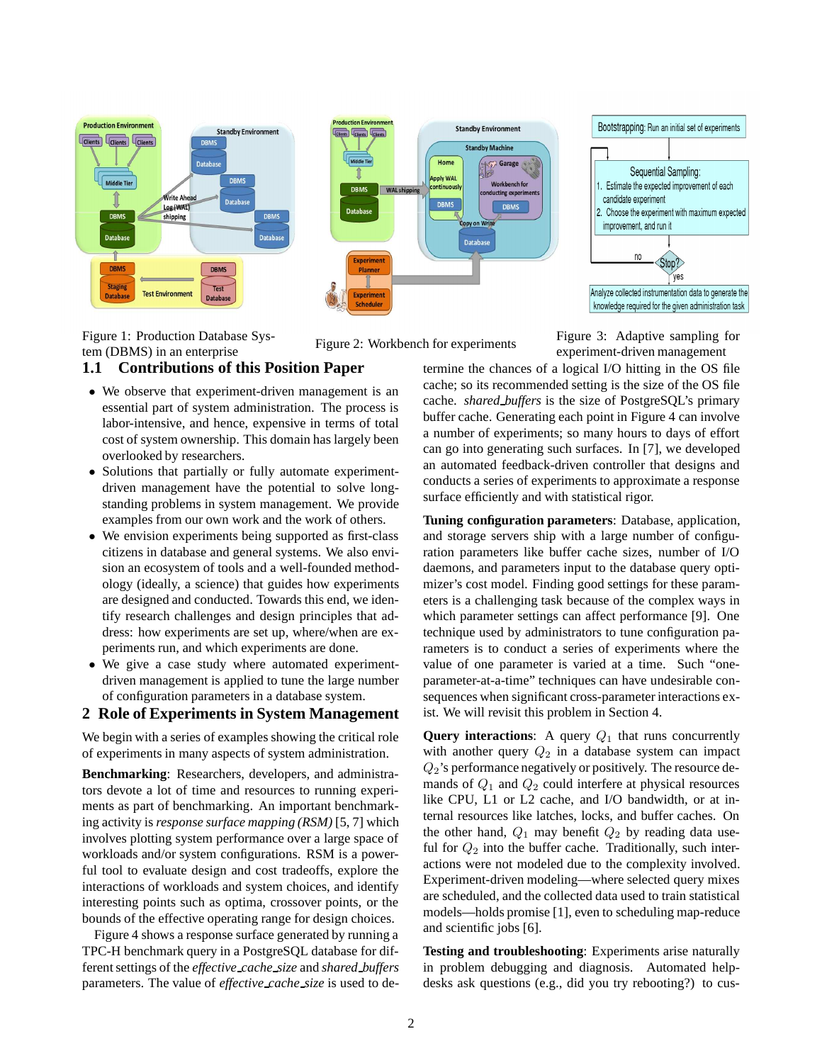

Figure 1: Production Database Sys-Figure 1: Production Database Sys-<br>tem (DBMS) in an enterprise Figure 2: Workbench for experiments<br>experiment-driven management

experiment-driven management

### **1.1 Contributions of this Position Paper**

- We observe that experiment-driven management is an essential part of system administration. The process is labor-intensive, and hence, expensive in terms of total cost of system ownership. This domain has largely been overlooked by researchers.
- Solutions that partially or fully automate experimentdriven management have the potential to solve longstanding problems in system management. We provide examples from our own work and the work of others.
- We envision experiments being supported as first-class citizens in database and general systems. We also envision an ecosystem of tools and a well-founded methodology (ideally, a science) that guides how experiments are designed and conducted. Towards this end, we identify research challenges and design principles that address: how experiments are set up, where/when are experiments run, and which experiments are done.
- We give a case study where automated experimentdriven management is applied to tune the large number of configuration parameters in a database system.

### **2 Role of Experiments in System Management**

We begin with a series of examples showing the critical role of experiments in many aspects of system administration.

**Benchmarking**: Researchers, developers, and administrators devote a lot of time and resources to running experiments as part of benchmarking. An important benchmarking activity is *response surface mapping (RSM)* [5, 7] which involves plotting system performance over a large space of workloads and/or system configurations. RSM is a powerful tool to evaluate design and cost tradeoffs, explore the interactions of workloads and system choices, and identify interesting points such as optima, crossover points, or the bounds of the effective operating range for design choices.

Figure 4 shows a response surface generated by running a TPC-H benchmark query in a PostgreSQL database for different settings of the *effective cache size* and *shared buffers* parameters. The value of *effective cache size* is used to determine the chances of a logical I/O hitting in the OS file cache; so its recommended setting is the size of the OS file cache. *shared buffers* is the size of PostgreSQL's primary buffer cache. Generating each point in Figure 4 can involve a number of experiments; so many hours to days of effort can go into generating such surfaces. In [7], we developed an automated feedback-driven controller that designs and conducts a series of experiments to approximate a response surface efficiently and with statistical rigor.

**Tuning configuration parameters**: Database, application, and storage servers ship with a large number of configuration parameters like buffer cache sizes, number of I/O daemons, and parameters input to the database query optimizer's cost model. Finding good settings for these parameters is a challenging task because of the complex ways in which parameter settings can affect performance [9]. One technique used by administrators to tune configuration parameters is to conduct a series of experiments where the value of one parameter is varied at a time. Such "oneparameter-at-a-time" techniques can have undesirable consequences when significant cross-parameter interactions exist. We will revisit this problem in Section 4.

**Query interactions:** A query  $Q_1$  that runs concurrently with another query  $Q_2$  in a database system can impact  $Q_2$ 's performance negatively or positively. The resource demands of  $Q_1$  and  $Q_2$  could interfere at physical resources like CPU, L1 or L2 cache, and I/O bandwidth, or at internal resources like latches, locks, and buffer caches. On the other hand,  $Q_1$  may benefit  $Q_2$  by reading data useful for  $Q_2$  into the buffer cache. Traditionally, such interactions were not modeled due to the complexity involved. Experiment-driven modeling—where selected query mixes are scheduled, and the collected data used to train statistical models—holds promise [1], even to scheduling map-reduce and scientific jobs [6].

**Testing and troubleshooting**: Experiments arise naturally in problem debugging and diagnosis. Automated helpdesks ask questions (e.g., did you try rebooting?) to cus-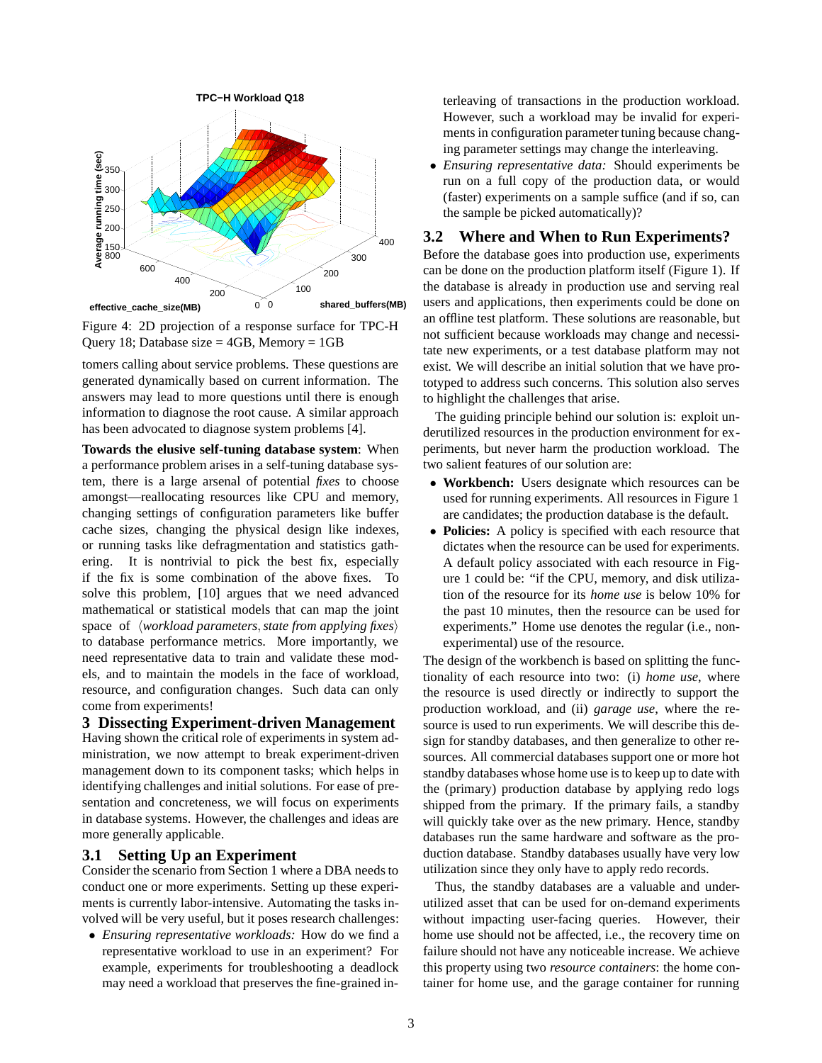

Figure 4: 2D projection of a response surface for TPC-H Query 18; Database size  $=$  4GB, Memory  $=$  1GB

tomers calling about service problems. These questions are generated dynamically based on current information. The answers may lead to more questions until there is enough information to diagnose the root cause. A similar approach has been advocated to diagnose system problems [4].

**Towards the elusive self-tuning database system**: When a performance problem arises in a self-tuning database system, there is a large arsenal of potential *fixes* to choose amongst—reallocating resources like CPU and memory, changing settings of configuration parameters like buffer cache sizes, changing the physical design like indexes, or running tasks like defragmentation and statistics gathering. It is nontrivial to pick the best fix, especially if the fix is some combination of the above fixes. To solve this problem, [10] argues that we need advanced mathematical or statistical models that can map the joint space of  $\langle$ *workload parameters,state from applying fixes* $\rangle$ to database performance metrics. More importantly, we need representative data to train and validate these models, and to maintain the models in the face of workload, resource, and configuration changes. Such data can only come from experiments!

## **3 Dissecting Experiment-driven Management**

Having shown the critical role of experiments in system administration, we now attempt to break experiment-driven management down to its component tasks; which helps in identifying challenges and initial solutions. For ease of presentation and concreteness, we will focus on experiments in database systems. However, the challenges and ideas are more generally applicable.

# **3.1 Setting Up an Experiment**

Consider the scenario from Section 1 where a DBA needs to conduct one or more experiments. Setting up these experiments is currently labor-intensive. Automating the tasks involved will be very useful, but it poses research challenges:

• *Ensuring representative workloads:* How do we find a representative workload to use in an experiment? For example, experiments for troubleshooting a deadlock may need a workload that preserves the fine-grained interleaving of transactions in the production workload. However, such a workload may be invalid for experiments in configuration parameter tuning because changing parameter settings may change the interleaving.

• *Ensuring representative data:* Should experiments be run on a full copy of the production data, or would (faster) experiments on a sample suffice (and if so, can the sample be picked automatically)?

# **3.2 Where and When to Run Experiments?**

Before the database goes into production use, experiments can be done on the production platform itself (Figure 1). If the database is already in production use and serving real users and applications, then experiments could be done on an offline test platform. These solutions are reasonable, but not sufficient because workloads may change and necessitate new experiments, or a test database platform may not exist. We will describe an initial solution that we have prototyped to address such concerns. This solution also serves to highlight the challenges that arise.

The guiding principle behind our solution is: exploit underutilized resources in the production environment for experiments, but never harm the production workload. The two salient features of our solution are:

- **Workbench:** Users designate which resources can be used for running experiments. All resources in Figure 1 are candidates; the production database is the default.
- **Policies:** A policy is specified with each resource that dictates when the resource can be used for experiments. A default policy associated with each resource in Figure 1 could be: "if the CPU, memory, and disk utilization of the resource for its *home use* is below 10% for the past 10 minutes, then the resource can be used for experiments." Home use denotes the regular (i.e., nonexperimental) use of the resource.

The design of the workbench is based on splitting the functionality of each resource into two: (i) *home use*, where the resource is used directly or indirectly to support the production workload, and (ii) *garage use*, where the resource is used to run experiments. We will describe this design for standby databases, and then generalize to other resources. All commercial databases support one or more hot standby databases whose home use is to keep up to date with the (primary) production database by applying redo logs shipped from the primary. If the primary fails, a standby will quickly take over as the new primary. Hence, standby databases run the same hardware and software as the production database. Standby databases usually have very low utilization since they only have to apply redo records.

Thus, the standby databases are a valuable and underutilized asset that can be used for on-demand experiments without impacting user-facing queries. However, their home use should not be affected, i.e., the recovery time on failure should not have any noticeable increase. We achieve this property using two *resource containers*: the home container for home use, and the garage container for running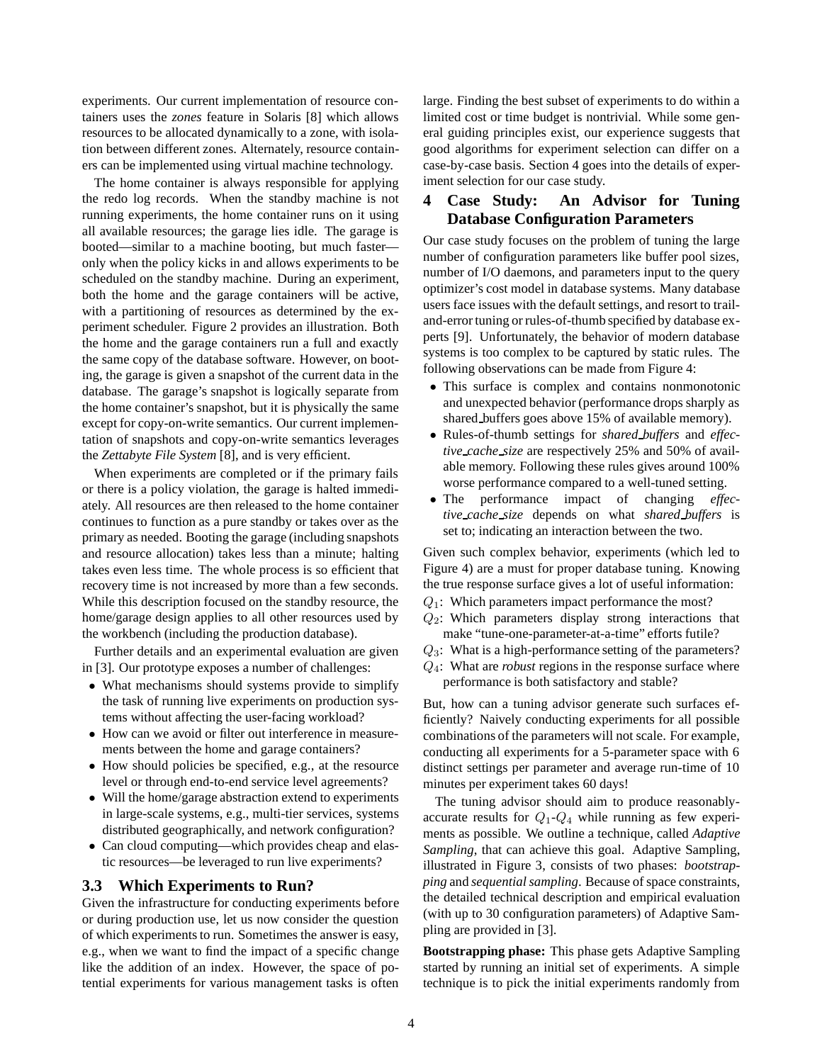experiments. Our current implementation of resource containers uses the *zones* feature in Solaris [8] which allows resources to be allocated dynamically to a zone, with isolation between different zones. Alternately, resource containers can be implemented using virtual machine technology.

The home container is always responsible for applying the redo log records. When the standby machine is not running experiments, the home container runs on it using all available resources; the garage lies idle. The garage is booted—similar to a machine booting, but much faster only when the policy kicks in and allows experiments to be scheduled on the standby machine. During an experiment, both the home and the garage containers will be active, with a partitioning of resources as determined by the experiment scheduler. Figure 2 provides an illustration. Both the home and the garage containers run a full and exactly the same copy of the database software. However, on booting, the garage is given a snapshot of the current data in the database. The garage's snapshot is logically separate from the home container's snapshot, but it is physically the same except for copy-on-write semantics. Our current implementation of snapshots and copy-on-write semantics leverages the *Zettabyte File System* [8], and is very efficient.

When experiments are completed or if the primary fails or there is a policy violation, the garage is halted immediately. All resources are then released to the home container continues to function as a pure standby or takes over as the primary as needed. Booting the garage (including snapshots and resource allocation) takes less than a minute; halting takes even less time. The whole process is so efficient that recovery time is not increased by more than a few seconds. While this description focused on the standby resource, the home/garage design applies to all other resources used by the workbench (including the production database).

Further details and an experimental evaluation are given in [3]. Our prototype exposes a number of challenges:

- What mechanisms should systems provide to simplify the task of running live experiments on production systems without affecting the user-facing workload?
- How can we avoid or filter out interference in measurements between the home and garage containers?
- How should policies be specified, e.g., at the resource level or through end-to-end service level agreements?
- Will the home/garage abstraction extend to experiments in large-scale systems, e.g., multi-tier services, systems distributed geographically, and network configuration?
- Can cloud computing—which provides cheap and elastic resources—be leveraged to run live experiments?

### **3.3 Which Experiments to Run?**

Given the infrastructure for conducting experiments before or during production use, let us now consider the question of which experiments to run. Sometimes the answer is easy, e.g., when we want to find the impact of a specific change like the addition of an index. However, the space of potential experiments for various management tasks is often large. Finding the best subset of experiments to do within a limited cost or time budget is nontrivial. While some general guiding principles exist, our experience suggests that good algorithms for experiment selection can differ on a case-by-case basis. Section 4 goes into the details of experiment selection for our case study.

# **4 Case Study: An Advisor for Tuning Database Configuration Parameters**

Our case study focuses on the problem of tuning the large number of configuration parameters like buffer pool sizes, number of I/O daemons, and parameters input to the query optimizer's cost model in database systems. Many database users face issues with the default settings, and resort to trailand-error tuning or rules-of-thumb specified by database experts [9]. Unfortunately, the behavior of modern database systems is too complex to be captured by static rules. The following observations can be made from Figure 4:

- This surface is complex and contains nonmonotonic and unexpected behavior (performance drops sharply as shared buffers goes above 15% of available memory).
- Rules-of-thumb settings for *shared buffers* and *effective cache size* are respectively 25% and 50% of available memory. Following these rules gives around 100% worse performance compared to a well-tuned setting.
- The performance impact of changing *effective cache size* depends on what *shared buffers* is set to; indicating an interaction between the two.

Given such complex behavior, experiments (which led to Figure 4) are a must for proper database tuning. Knowing the true response surface gives a lot of useful information:

- $Q_1$ : Which parameters impact performance the most?
- $Q_2$ : Which parameters display strong interactions that make "tune-one-parameter-at-a-time" efforts futile?
- $Q_3$ : What is a high-performance setting of the parameters?
- Q4: What are *robust* regions in the response surface where performance is both satisfactory and stable?

But, how can a tuning advisor generate such surfaces efficiently? Naively conducting experiments for all possible combinations of the parameters will not scale. For example, conducting all experiments for a 5-parameter space with 6 distinct settings per parameter and average run-time of 10 minutes per experiment takes 60 days!

The tuning advisor should aim to produce reasonablyaccurate results for  $Q_1$ - $Q_4$  while running as few experiments as possible. We outline a technique, called *Adaptive Sampling*, that can achieve this goal. Adaptive Sampling, illustrated in Figure 3, consists of two phases: *bootstrapping* and *sequential sampling*. Because of space constraints, the detailed technical description and empirical evaluation (with up to 30 configuration parameters) of Adaptive Sampling are provided in [3].

**Bootstrapping phase:** This phase gets Adaptive Sampling started by running an initial set of experiments. A simple technique is to pick the initial experiments randomly from